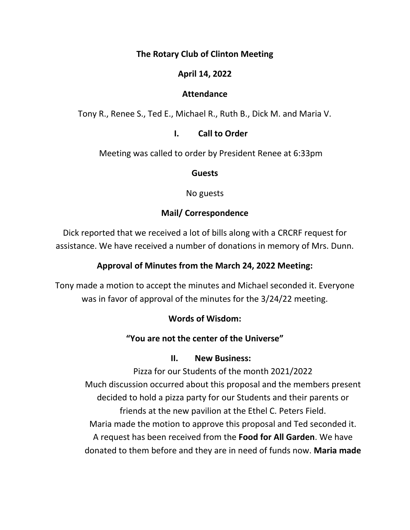## **The Rotary Club of Clinton Meeting**

## **April 14, 2022**

#### **Attendance**

Tony R., Renee S., Ted E., Michael R., Ruth B., Dick M. and Maria V.

### **I. Call to Order**

Meeting was called to order by President Renee at 6:33pm

#### **Guests**

No guests

## **Mail/ Correspondence**

Dick reported that we received a lot of bills along with a CRCRF request for assistance. We have received a number of donations in memory of Mrs. Dunn.

### **Approval of Minutes from the March 24, 2022 Meeting:**

Tony made a motion to accept the minutes and Michael seconded it. Everyone was in favor of approval of the minutes for the 3/24/22 meeting.

### **Words of Wisdom:**

### **"You are not the center of the Universe"**

#### **II. New Business:**

Pizza for our Students of the month 2021/2022 Much discussion occurred about this proposal and the members present decided to hold a pizza party for our Students and their parents or friends at the new pavilion at the Ethel C. Peters Field. Maria made the motion to approve this proposal and Ted seconded it. A request has been received from the **Food for All Garden**. We have donated to them before and they are in need of funds now. **Maria made**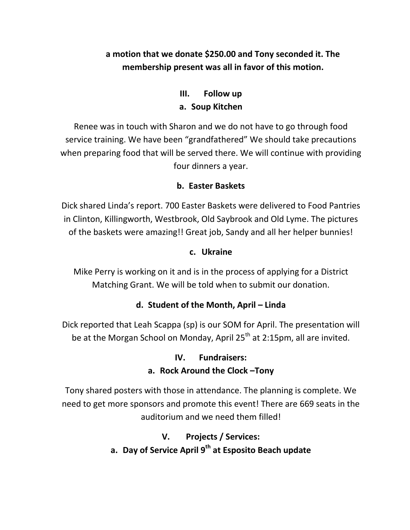## **a motion that we donate \$250.00 and Tony seconded it. The membership present was all in favor of this motion.**

# **III. Follow up a. Soup Kitchen**

Renee was in touch with Sharon and we do not have to go through food service training. We have been "grandfathered" We should take precautions when preparing food that will be served there. We will continue with providing four dinners a year.

## **b. Easter Baskets**

Dick shared Linda's report. 700 Easter Baskets were delivered to Food Pantries in Clinton, Killingworth, Westbrook, Old Saybrook and Old Lyme. The pictures of the baskets were amazing!! Great job, Sandy and all her helper bunnies!

## **c. Ukraine**

Mike Perry is working on it and is in the process of applying for a District Matching Grant. We will be told when to submit our donation.

## **d. Student of the Month, April – Linda**

Dick reported that Leah Scappa (sp) is our SOM for April. The presentation will be at the Morgan School on Monday, April  $25<sup>th</sup>$  at 2:15pm, all are invited.

## **IV. Fundraisers: a. Rock Around the Clock –Tony**

Tony shared posters with those in attendance. The planning is complete. We need to get more sponsors and promote this event! There are 669 seats in the auditorium and we need them filled!

## **V. Projects / Services:**

**a. Day of Service April 9th at Esposito Beach update**